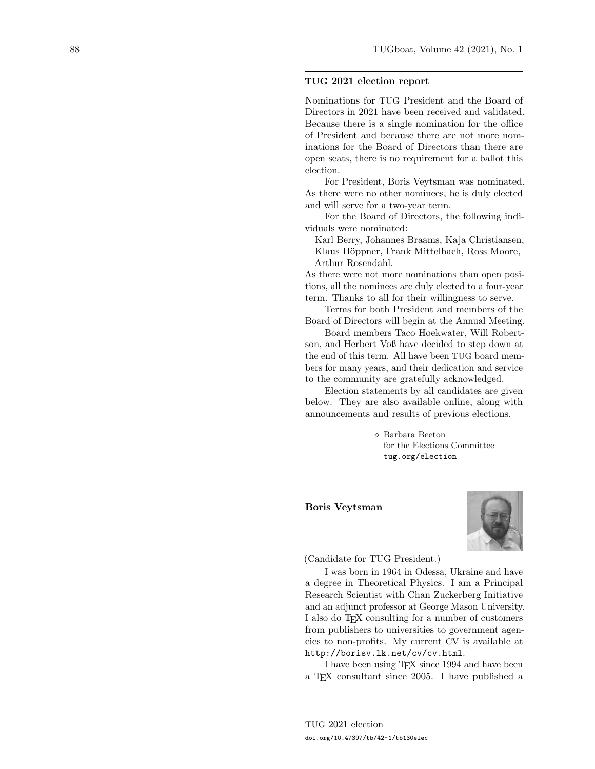#### TUG 2021 election report

Nominations for TUG President and the Board of Directors in 2021 have been received and validated. Because there is a single nomination for the office of President and because there are not more nominations for the Board of Directors than there are open seats, there is no requirement for a ballot this election.

For President, Boris Veytsman was nominated. As there were no other nominees, he is duly elected and will serve for a two-year term.

For the Board of Directors, the following individuals were nominated:

Karl Berry, Johannes Braams, Kaja Christiansen, Klaus Höppner, Frank Mittelbach, Ross Moore, Arthur Rosendahl.

As there were not more nominations than open positions, all the nominees are duly elected to a four-year term. Thanks to all for their willingness to serve.

Terms for both President and members of the Board of Directors will begin at the Annual Meeting.

Board members Taco Hoekwater, Will Robertson, and Herbert Voß have decided to step down at the end of this term. All have been TUG board members for many years, and their dedication and service to the community are gratefully acknowledged.

Election statements by all candidates are given below. They are also available online, along with announcements and results of previous elections.

> Barbara Beeton for the Elections Committee tug.org/election

Boris Veytsman



(Candidate for TUG President.)

I was born in 1964 in Odessa, Ukraine and have a degree in Theoretical Physics. I am a Principal Research Scientist with Chan Zuckerberg Initiative and an adjunct professor at George Mason University. I also do T<sub>E</sub>X consulting for a number of customers from publishers to universities to government agencies to non-profits. My current CV is available at <http://borisv.lk.net/cv/cv.html>.

I have been using TEX since 1994 and have been a TEX consultant since 2005. I have published a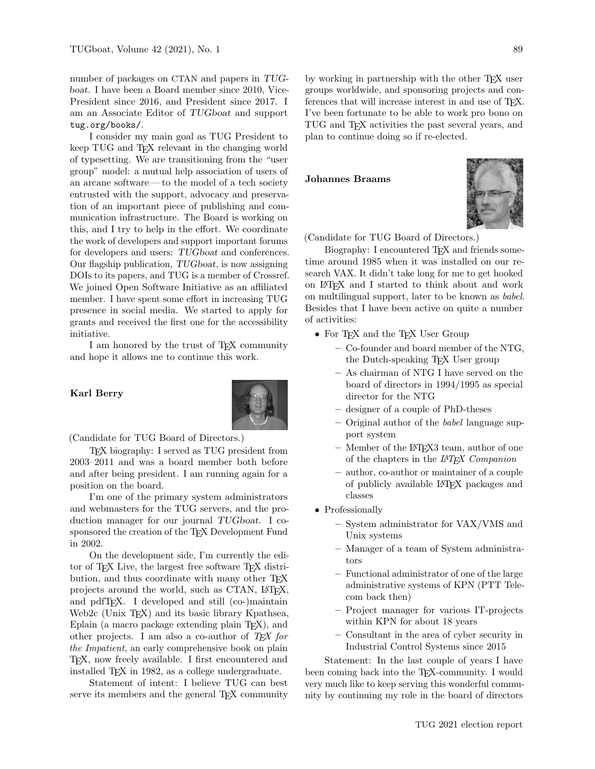number of packages on CTAN and papers in TUGboat. I have been a Board member since 2010, Vice-President since 2016, and President since 2017. I am an Associate Editor of TUGboat and support <tug.org/books/>.

I consider my main goal as TUG President to keep TUG and T<sub>EX</sub> relevant in the changing world of typesetting. We are transitioning from the "user group" model: a mutual help association of users of an arcane software— to the model of a tech society entrusted with the support, advocacy and preservation of an important piece of publishing and communication infrastructure. The Board is working on this, and I try to help in the effort. We coordinate the work of developers and support important forums for developers and users: TUGboat and conferences. Our flagship publication, TUGboat, is now assigning DOIs to its papers, and TUG is a member of Crossref. We joined Open Software Initiative as an affiliated member. I have spent some effort in increasing TUG presence in social media. We started to apply for grants and received the first one for the accessibility initiative.

I am honored by the trust of TEX community and hope it allows me to continue this work.

# Karl Berry



(Candidate for TUG Board of Directors.)

TEX biography: I served as TUG president from 2003–2011 and was a board member both before and after being president. I am running again for a position on the board.

I'm one of the primary system administrators and webmasters for the TUG servers, and the production manager for our journal TUGboat. I cosponsored the creation of the TEX Development Fund in 2002.

On the development side, I'm currently the editor of T<sub>EX</sub> Live, the largest free software T<sub>EX</sub> distribution, and thus coordinate with many other T<sub>EX</sub> projects around the world, such as CTAN, LATEX, and pdfTEX. I developed and still (co-)maintain Web2c (Unix TEX) and its basic library Kpathsea, Eplain (a macro package extending plain TEX), and other projects. I am also a co-author of  $TEX$  for the Impatient, an early comprehensive book on plain TEX, now freely available. I first encountered and installed TEX in 1982, as a college undergraduate.

Statement of intent: I believe TUG can best serve its members and the general T<sub>E</sub>X community

by working in partnership with the other T<sub>E</sub>X user groups worldwide, and sponsoring projects and conferences that will increase interest in and use of TEX. I've been fortunate to be able to work pro bono on TUG and TEX activities the past several years, and plan to continue doing so if re-elected.

Johannes Braams



(Candidate for TUG Board of Directors.)

Biography: I encountered TEX and friends sometime around 1985 when it was installed on our research VAX. It didn't take long for me to get hooked on LATEX and I started to think about and work on multilingual support, later to be known as babel. Besides that I have been active on quite a number of activities:

- For T<sub>F</sub>X and the T<sub>F</sub>X User Group
	- Co-founder and board member of the NTG, the Dutch-speaking T<sub>F</sub>X User group
	- As chairman of NTG I have served on the board of directors in 1994/1995 as special director for the NTG
	- designer of a couple of PhD-theses
	- Original author of the babel language support system
	- Member of the LATEX3 team, author of one of the chapters in the LATEX Companion
	- author, co-author or maintainer of a couple of publicly available LATEX packages and classes
- Professionally
	- System administrator for VAX/VMS and Unix systems
	- Manager of a team of System administrators
	- Functional administrator of one of the large administrative systems of KPN (PTT Telecom back then)
	- Project manager for various IT-projects within KPN for about 18 years
	- Consultant in the area of cyber security in Industrial Control Systems since 2015

Statement: In the last couple of years I have been coming back into the TEX-community. I would very much like to keep serving this wonderful community by continuing my role in the board of directors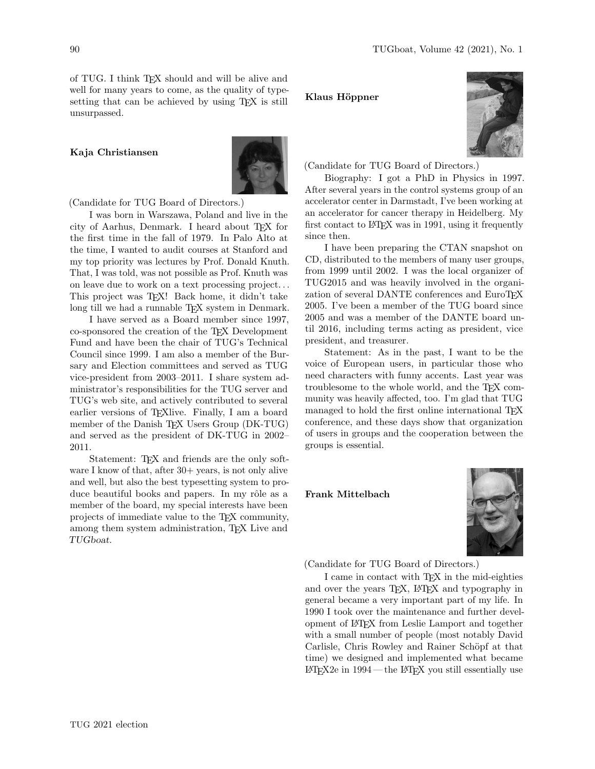of TUG. I think TEX should and will be alive and well for many years to come, as the quality of typesetting that can be achieved by using TEX is still unsurpassed.

# Kaja Christiansen



(Candidate for TUG Board of Directors.)

I was born in Warszawa, Poland and live in the city of Aarhus, Denmark. I heard about TFX for the first time in the fall of 1979. In Palo Alto at the time, I wanted to audit courses at Stanford and my top priority was lectures by Prof. Donald Knuth. That, I was told, was not possible as Prof. Knuth was on leave due to work on a text processing project. . . This project was T<sub>E</sub>X! Back home, it didn't take long till we had a runnable T<sub>E</sub>X system in Denmark.

I have served as a Board member since 1997, co-sponsored the creation of the TEX Development Fund and have been the chair of TUG's Technical Council since 1999. I am also a member of the Bursary and Election committees and served as TUG vice-president from 2003–2011. I share system administrator's responsibilities for the TUG server and TUG's web site, and actively contributed to several earlier versions of T<sub>E</sub>Xlive. Finally, I am a board member of the Danish T<sub>EX</sub> Users Group (DK-TUG) and served as the president of DK-TUG in 2002– 2011.

Statement: TEX and friends are the only software I know of that, after  $30+$  years, is not only alive and well, but also the best typesetting system to produce beautiful books and papers. In my rôle as a member of the board, my special interests have been projects of immediate value to the TEX community, among them system administration, TEX Live and TUGboat.

#### Klaus Höppner



(Candidate for TUG Board of Directors.)

Biography: I got a PhD in Physics in 1997. After several years in the control systems group of an accelerator center in Darmstadt, I've been working at an accelerator for cancer therapy in Heidelberg. My first contact to LATEX was in 1991, using it frequently since then.

I have been preparing the CTAN snapshot on CD, distributed to the members of many user groups, from 1999 until 2002. I was the local organizer of TUG2015 and was heavily involved in the organization of several DANTE conferences and EuroT<sub>E</sub>X 2005. I've been a member of the TUG board since 2005 and was a member of the DANTE board until 2016, including terms acting as president, vice president, and treasurer.

Statement: As in the past, I want to be the voice of European users, in particular those who need characters with funny accents. Last year was troublesome to the whole world, and the TEX community was heavily affected, too. I'm glad that TUG managed to hold the first online international TEX conference, and these days show that organization of users in groups and the cooperation between the groups is essential.

Frank Mittelbach



(Candidate for TUG Board of Directors.)

I came in contact with TEX in the mid-eighties and over the years T<sub>EX</sub>, L<sup>AT</sup>EX and typography in general became a very important part of my life. In 1990 I took over the maintenance and further development of LATEX from Leslie Lamport and together with a small number of people (most notably David Carlisle, Chris Rowley and Rainer Schöpf at that time) we designed and implemented what became  $IAT$ <sub>EX2</sub>e in  $1994$  — the  $IAT$ <sub>EX</sub> you still essentially use